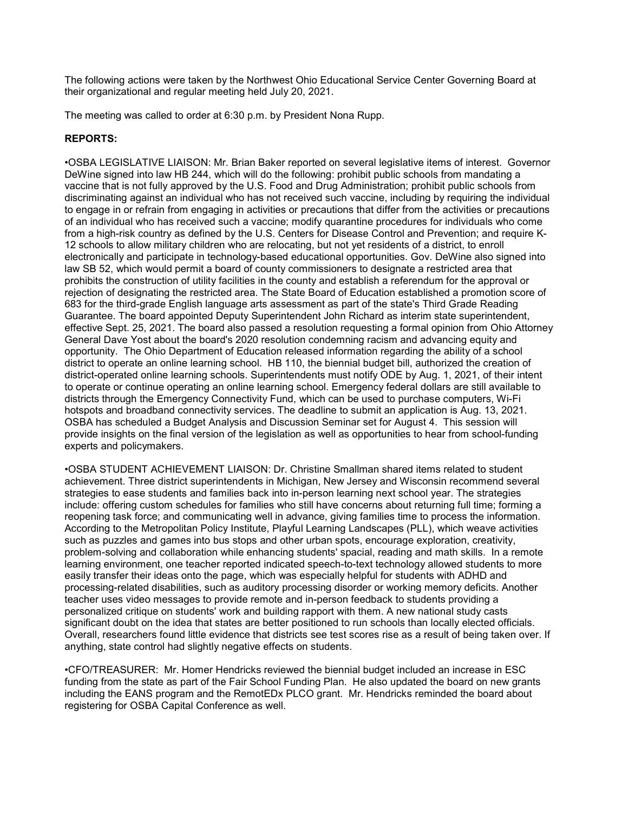The following actions were taken by the Northwest Ohio Educational Service Center Governing Board at their organizational and regular meeting held July 20, 2021.

The meeting was called to order at 6:30 p.m. by President Nona Rupp.

# REPORTS:

•OSBA LEGISLATIVE LIAISON: Mr. Brian Baker reported on several legislative items of interest. Governor DeWine signed into law HB 244, which will do the following: prohibit public schools from mandating a vaccine that is not fully approved by the U.S. Food and Drug Administration; prohibit public schools from discriminating against an individual who has not received such vaccine, including by requiring the individual to engage in or refrain from engaging in activities or precautions that differ from the activities or precautions of an individual who has received such a vaccine; modify quarantine procedures for individuals who come from a high-risk country as defined by the U.S. Centers for Disease Control and Prevention; and require K-12 schools to allow military children who are relocating, but not yet residents of a district, to enroll electronically and participate in technology-based educational opportunities. Gov. DeWine also signed into law SB 52, which would permit a board of county commissioners to designate a restricted area that prohibits the construction of utility facilities in the county and establish a referendum for the approval or rejection of designating the restricted area. The State Board of Education established a promotion score of 683 for the third-grade English language arts assessment as part of the state's Third Grade Reading Guarantee. The board appointed Deputy Superintendent John Richard as interim state superintendent, effective Sept. 25, 2021. The board also passed a resolution requesting a formal opinion from Ohio Attorney General Dave Yost about the board's 2020 resolution condemning racism and advancing equity and opportunity. The Ohio Department of Education released information regarding the ability of a school district to operate an online learning school. HB 110, the biennial budget bill, authorized the creation of district-operated online learning schools. Superintendents must notify ODE by Aug. 1, 2021, of their intent to operate or continue operating an online learning school. Emergency federal dollars are still available to districts through the Emergency Connectivity Fund, which can be used to purchase computers, Wi-Fi hotspots and broadband connectivity services. The deadline to submit an application is Aug. 13, 2021. OSBA has scheduled a Budget Analysis and Discussion Seminar set for August 4. This session will provide insights on the final version of the legislation as well as opportunities to hear from school-funding experts and policymakers.

•OSBA STUDENT ACHIEVEMENT LIAISON: Dr. Christine Smallman shared items related to student achievement. Three district superintendents in Michigan, New Jersey and Wisconsin recommend several strategies to ease students and families back into in-person learning next school year. The strategies include: offering custom schedules for families who still have concerns about returning full time; forming a reopening task force; and communicating well in advance, giving families time to process the information. According to the Metropolitan Policy Institute, Playful Learning Landscapes (PLL), which weave activities such as puzzles and games into bus stops and other urban spots, encourage exploration, creativity, problem-solving and collaboration while enhancing students' spacial, reading and math skills. In a remote learning environment, one teacher reported indicated speech-to-text technology allowed students to more easily transfer their ideas onto the page, which was especially helpful for students with ADHD and processing-related disabilities, such as auditory processing disorder or working memory deficits. Another teacher uses video messages to provide remote and in-person feedback to students providing a personalized critique on students' work and building rapport with them. A new national study casts significant doubt on the idea that states are better positioned to run schools than locally elected officials. Overall, researchers found little evidence that districts see test scores rise as a result of being taken over. If anything, state control had slightly negative effects on students.

•CFO/TREASURER: Mr. Homer Hendricks reviewed the biennial budget included an increase in ESC funding from the state as part of the Fair School Funding Plan. He also updated the board on new grants including the EANS program and the RemotEDx PLCO grant. Mr. Hendricks reminded the board about registering for OSBA Capital Conference as well.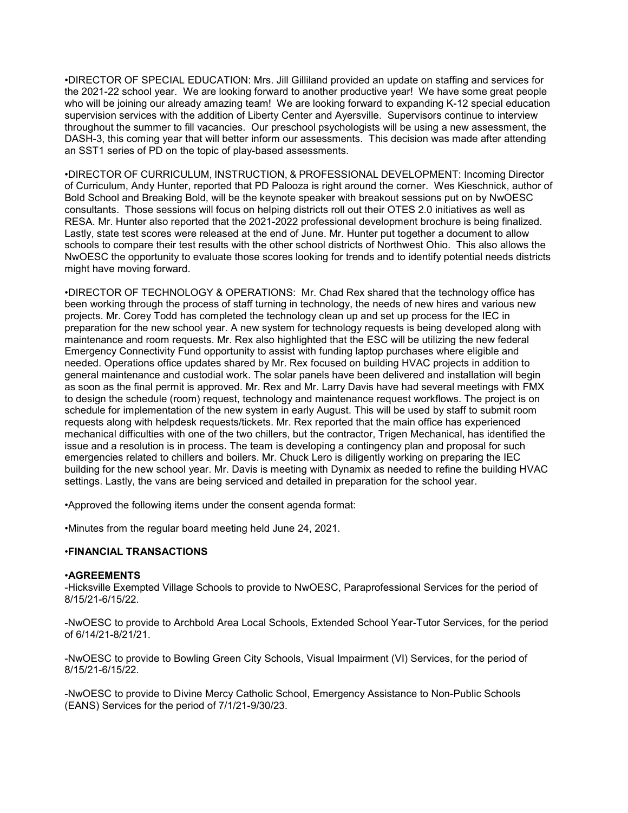•DIRECTOR OF SPECIAL EDUCATION: Mrs. Jill Gilliland provided an update on staffing and services for the 2021-22 school year. We are looking forward to another productive year! We have some great people who will be joining our already amazing team! We are looking forward to expanding K-12 special education supervision services with the addition of Liberty Center and Ayersville. Supervisors continue to interview throughout the summer to fill vacancies. Our preschool psychologists will be using a new assessment, the DASH-3, this coming year that will better inform our assessments. This decision was made after attending an SST1 series of PD on the topic of play-based assessments.

•DIRECTOR OF CURRICULUM, INSTRUCTION, & PROFESSIONAL DEVELOPMENT: Incoming Director of Curriculum, Andy Hunter, reported that PD Palooza is right around the corner. Wes Kieschnick, author of Bold School and Breaking Bold, will be the keynote speaker with breakout sessions put on by NwOESC consultants. Those sessions will focus on helping districts roll out their OTES 2.0 initiatives as well as RESA. Mr. Hunter also reported that the 2021-2022 professional development brochure is being finalized. Lastly, state test scores were released at the end of June. Mr. Hunter put together a document to allow schools to compare their test results with the other school districts of Northwest Ohio. This also allows the NwOESC the opportunity to evaluate those scores looking for trends and to identify potential needs districts might have moving forward.

•DIRECTOR OF TECHNOLOGY & OPERATIONS: Mr. Chad Rex shared that the technology office has been working through the process of staff turning in technology, the needs of new hires and various new projects. Mr. Corey Todd has completed the technology clean up and set up process for the IEC in preparation for the new school year. A new system for technology requests is being developed along with maintenance and room requests. Mr. Rex also highlighted that the ESC will be utilizing the new federal Emergency Connectivity Fund opportunity to assist with funding laptop purchases where eligible and needed. Operations office updates shared by Mr. Rex focused on building HVAC projects in addition to general maintenance and custodial work. The solar panels have been delivered and installation will begin as soon as the final permit is approved. Mr. Rex and Mr. Larry Davis have had several meetings with FMX to design the schedule (room) request, technology and maintenance request workflows. The project is on schedule for implementation of the new system in early August. This will be used by staff to submit room requests along with helpdesk requests/tickets. Mr. Rex reported that the main office has experienced mechanical difficulties with one of the two chillers, but the contractor, Trigen Mechanical, has identified the issue and a resolution is in process. The team is developing a contingency plan and proposal for such emergencies related to chillers and boilers. Mr. Chuck Lero is diligently working on preparing the IEC building for the new school year. Mr. Davis is meeting with Dynamix as needed to refine the building HVAC settings. Lastly, the vans are being serviced and detailed in preparation for the school year.

•Approved the following items under the consent agenda format:

•Minutes from the regular board meeting held June 24, 2021.

## •FINANCIAL TRANSACTIONS

## •AGREEMENTS

-Hicksville Exempted Village Schools to provide to NwOESC, Paraprofessional Services for the period of 8/15/21-6/15/22.

-NwOESC to provide to Archbold Area Local Schools, Extended School Year-Tutor Services, for the period of 6/14/21-8/21/21.

-NwOESC to provide to Bowling Green City Schools, Visual Impairment (VI) Services, for the period of 8/15/21-6/15/22.

-NwOESC to provide to Divine Mercy Catholic School, Emergency Assistance to Non-Public Schools (EANS) Services for the period of 7/1/21-9/30/23.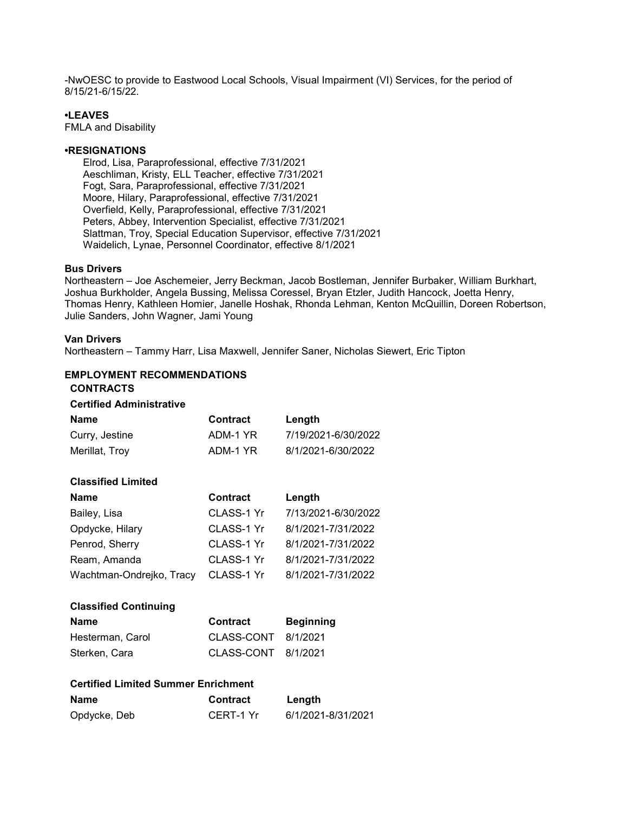-NwOESC to provide to Eastwood Local Schools, Visual Impairment (VI) Services, for the period of 8/15/21-6/15/22.

# •LEAVES

FMLA and Disability

### •RESIGNATIONS

 Elrod, Lisa, Paraprofessional, effective 7/31/2021 Aeschliman, Kristy, ELL Teacher, effective 7/31/2021 Fogt, Sara, Paraprofessional, effective 7/31/2021 Moore, Hilary, Paraprofessional, effective 7/31/2021 Overfield, Kelly, Paraprofessional, effective 7/31/2021 Peters, Abbey, Intervention Specialist, effective 7/31/2021 Slattman, Troy, Special Education Supervisor, effective 7/31/2021 Waidelich, Lynae, Personnel Coordinator, effective 8/1/2021

### Bus Drivers

Northeastern – Joe Aschemeier, Jerry Beckman, Jacob Bostleman, Jennifer Burbaker, William Burkhart, Joshua Burkholder, Angela Bussing, Melissa Coressel, Bryan Etzler, Judith Hancock, Joetta Henry, Thomas Henry, Kathleen Homier, Janelle Hoshak, Rhonda Lehman, Kenton McQuillin, Doreen Robertson, Julie Sanders, John Wagner, Jami Young

### Van Drivers

Northeastern – Tammy Harr, Lisa Maxwell, Jennifer Saner, Nicholas Siewert, Eric Tipton

# EMPLOYMENT RECOMMENDATIONS

# CONTRACTS

### Certified Administrative

| <b>Name</b><br>Curry, Jestine<br>Merillat, Troy | <b>Contract</b><br>ADM-1 YR<br>ADM-1 YR | Length<br>7/19/2021-6/30/2022<br>8/1/2021-6/30/2022 |
|-------------------------------------------------|-----------------------------------------|-----------------------------------------------------|
| <b>Classified Limited</b>                       |                                         |                                                     |
| Name                                            | <b>Contract</b>                         | Length                                              |
| Bailey, Lisa                                    | CLASS-1 Yr                              | 7/13/2021-6/30/2022                                 |
| Opdycke, Hilary                                 | CLASS-1 Yr                              | 8/1/2021-7/31/2022                                  |
| Penrod, Sherry                                  | CLASS-1 Yr                              | 8/1/2021-7/31/2022                                  |
| Ream, Amanda                                    | CLASS-1 Yr                              | 8/1/2021-7/31/2022                                  |
| Wachtman-Ondrejko, Tracy                        | CLASS-1 Yr                              | 8/1/2021-7/31/2022                                  |
| <b>Classified Continuing</b>                    |                                         |                                                     |
| Namo                                            | Contract                                | <b>Dominning</b>                                    |

| Name             | <b>Contract</b>     | <b>Beginning</b> |
|------------------|---------------------|------------------|
| Hesterman, Carol | CLASS-CONT 8/1/2021 |                  |
| Sterken, Cara    | CLASS-CONT 8/1/2021 |                  |

| <b>Name</b>  | <b>Contract</b> | Length             |
|--------------|-----------------|--------------------|
| Opdycke, Deb | CERT-1 Yr       | 6/1/2021-8/31/2021 |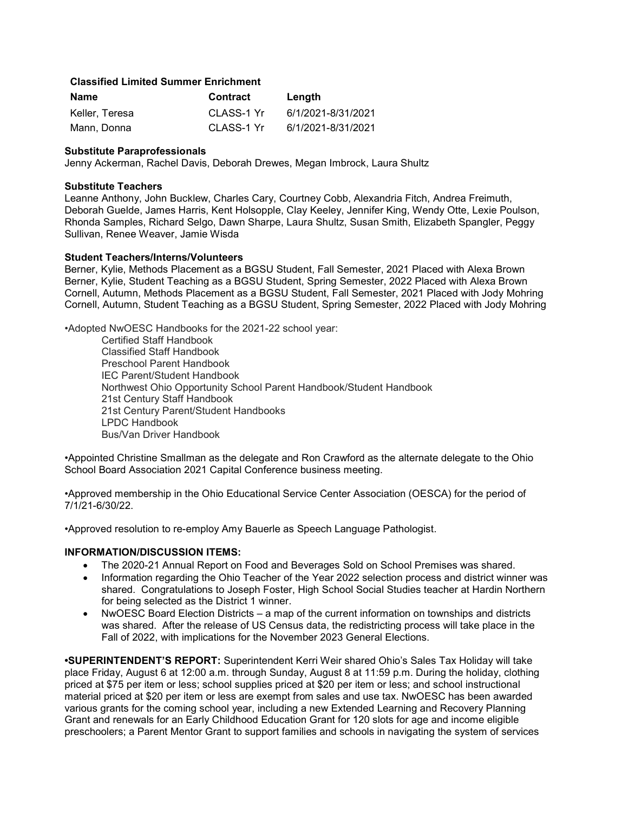## Classified Limited Summer Enrichment

| Name           | <b>Contract</b> | Length             |
|----------------|-----------------|--------------------|
| Keller. Teresa | CLASS-1 Yr      | 6/1/2021-8/31/2021 |
| Mann, Donna    | CLASS-1 Yr      | 6/1/2021-8/31/2021 |

#### Substitute Paraprofessionals

Jenny Ackerman, Rachel Davis, Deborah Drewes, Megan Imbrock, Laura Shultz

### Substitute Teachers

Leanne Anthony, John Bucklew, Charles Cary, Courtney Cobb, Alexandria Fitch, Andrea Freimuth, Deborah Guelde, James Harris, Kent Holsopple, Clay Keeley, Jennifer King, Wendy Otte, Lexie Poulson, Rhonda Samples, Richard Selgo, Dawn Sharpe, Laura Shultz, Susan Smith, Elizabeth Spangler, Peggy Sullivan, Renee Weaver, Jamie Wisda

### Student Teachers/Interns/Volunteers

Berner, Kylie, Methods Placement as a BGSU Student, Fall Semester, 2021 Placed with Alexa Brown Berner, Kylie, Student Teaching as a BGSU Student, Spring Semester, 2022 Placed with Alexa Brown Cornell, Autumn, Methods Placement as a BGSU Student, Fall Semester, 2021 Placed with Jody Mohring Cornell, Autumn, Student Teaching as a BGSU Student, Spring Semester, 2022 Placed with Jody Mohring

•Adopted NwOESC Handbooks for the 2021-22 school year:

Certified Staff Handbook Classified Staff Handbook Preschool Parent Handbook IEC Parent/Student Handbook Northwest Ohio Opportunity School Parent Handbook/Student Handbook 21st Century Staff Handbook 21st Century Parent/Student Handbooks LPDC Handbook Bus/Van Driver Handbook

•Appointed Christine Smallman as the delegate and Ron Crawford as the alternate delegate to the Ohio School Board Association 2021 Capital Conference business meeting.

•Approved membership in the Ohio Educational Service Center Association (OESCA) for the period of 7/1/21-6/30/22.

•Approved resolution to re-employ Amy Bauerle as Speech Language Pathologist.

#### INFORMATION/DISCUSSION ITEMS:

- The 2020-21 Annual Report on Food and Beverages Sold on School Premises was shared.
- Information regarding the Ohio Teacher of the Year 2022 selection process and district winner was shared. Congratulations to Joseph Foster, High School Social Studies teacher at Hardin Northern for being selected as the District 1 winner.
- NwOESC Board Election Districts a map of the current information on townships and districts was shared. After the release of US Census data, the redistricting process will take place in the Fall of 2022, with implications for the November 2023 General Elections.

•SUPERINTENDENT'S REPORT: Superintendent Kerri Weir shared Ohio's Sales Tax Holiday will take place Friday, August 6 at 12:00 a.m. through Sunday, August 8 at 11:59 p.m. During the holiday, clothing priced at \$75 per item or less; school supplies priced at \$20 per item or less; and school instructional material priced at \$20 per item or less are exempt from sales and use tax. NwOESC has been awarded various grants for the coming school year, including a new Extended Learning and Recovery Planning Grant and renewals for an Early Childhood Education Grant for 120 slots for age and income eligible preschoolers; a Parent Mentor Grant to support families and schools in navigating the system of services